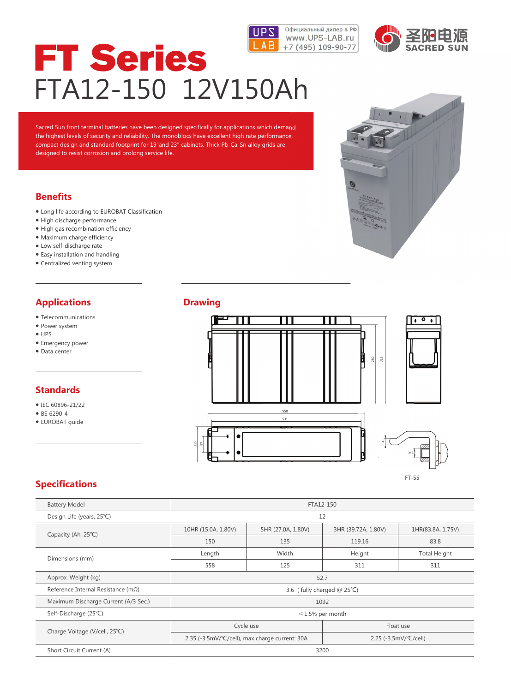



# FT Series FTA12-150 12V150Ah

Sacred Sun front terminal batteries have been designed specifically for applications which demand the highest levels of security and reliability. The monoblocs have excellent high rate performance, compact design and standard footprint for 19"and 23" cabinets. Thick Pb-Ca-Sn alloy grids are designed to resist corrosion and prolong service life.

## **Benefits**

- Long life according to EUROBAT Classification
- High discharge performance
- High gas recombination efficiency
- Maximum charge efficiency
- Low self-discharge rate
- Easy installation and handling
- Centralized venting system

# **Applications**

- Telecommunications
- Power system
- UPS
- Emergency power
- Data center

## **Standards**

- IEC 60896-21/22
- BS 6290-4
- EUROBAT guide

#### **Drawing**





# **Specifications**

| <b>Battery Model</b>                        | FTA12-150                  |                                                |                                    |                     |  |  |  |  |  |
|---------------------------------------------|----------------------------|------------------------------------------------|------------------------------------|---------------------|--|--|--|--|--|
| Design Life (years, 25°C)                   | 12                         |                                                |                                    |                     |  |  |  |  |  |
| Capacity (Ah, 25°C)                         | 10HR (15.0A, 1.80V)        | 5HR (27.0A, 1.80V)                             | 3HR (39.72A, 1.80V)                | 1HR(83.8A, 1.75V)   |  |  |  |  |  |
|                                             | 150                        | 135                                            | 119.16                             | 83.8                |  |  |  |  |  |
| Dimensions (mm)                             | Length                     | Width                                          | Height                             | <b>Total Height</b> |  |  |  |  |  |
|                                             | 558                        | 311                                            | 311                                |                     |  |  |  |  |  |
| Approx. Weight (kg)                         | 52.7                       |                                                |                                    |                     |  |  |  |  |  |
| Reference Internal Resistance ( $m\Omega$ ) | 3.6 (fully charged @ 25°C) |                                                |                                    |                     |  |  |  |  |  |
| Maximum Discharge Current (A/3 Sec.)        | 1092                       |                                                |                                    |                     |  |  |  |  |  |
| Self-Discharge (25°C)                       | $\leq 1.5\%$ per month     |                                                |                                    |                     |  |  |  |  |  |
|                                             |                            | Cycle use                                      | Float use                          |                     |  |  |  |  |  |
| Charge Voltage (V/cell, 25°C)               |                            | 2.35 (-3.5mV/°C/cell), max charge current: 30A | $2.25$ (-3.5mV/ $^{\circ}$ C/cell) |                     |  |  |  |  |  |
| Short Circuit Current (A)                   | 3200                       |                                                |                                    |                     |  |  |  |  |  |